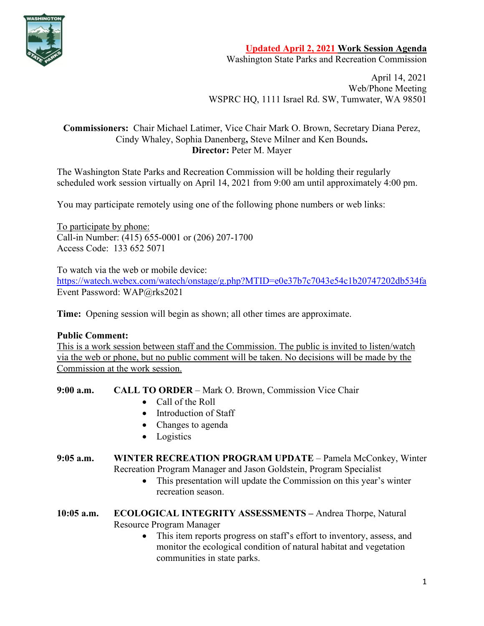

**Updated April 2, 2021 Work Session Agenda**

Washington State Parks and Recreation Commission

April 14, 2021 Web/Phone Meeting WSPRC HQ, 1111 Israel Rd. SW, Tumwater, WA 98501

## **Commissioners:** Chair Michael Latimer, Vice Chair Mark O. Brown, Secretary Diana Perez, Cindy Whaley, Sophia Danenberg**,** Steve Milner and Ken Bounds**. Director:** Peter M. Mayer

The Washington State Parks and Recreation Commission will be holding their regularly scheduled work session virtually on April 14, 2021 from 9:00 am until approximately 4:00 pm.

You may participate remotely using one of the following phone numbers or web links:

To participate by phone: Call-in Number: (415) 655-0001 or (206) 207-1700 Access Code: 133 652 5071

To watch via the web or mobile device: [https://watech.webex.com/watech/onstage/g.php?MTID=e0e37b7c7043e54c1b20747202db534fa](https://gcc02.safelinks.protection.outlook.com/?url=https%3A%2F%2Fwatech.webex.com%2Fwatech%2Fonstage%2Fg.php%3FMTID%3De0e37b7c7043e54c1b20747202db534fa&data=04%7C01%7CBecki.Ellison%40parks.wa.gov%7Cf908455172f341a6dbc008d8efc293c0%7C11d0e217264e400a8ba057dcc127d72d%7C0%7C0%7C637522966263782299%7CUnknown%7CTWFpbGZsb3d8eyJWIjoiMC4wLjAwMDAiLCJQIjoiV2luMzIiLCJBTiI6Ik1haWwiLCJXVCI6Mn0%3D%7C1000&sdata=w141rcrrWkHOvLClnYmK92DneZEFX1SHrNbo1RnFvDE%3D&reserved=0) Event Password: WAP@rks2021

**Time:** Opening session will begin as shown; all other times are approximate.

## **Public Comment:**

This is a work session between staff and the Commission. The public is invited to listen/watch via the web or phone, but no public comment will be taken. No decisions will be made by the Commission at the work session.

**9:00 a.m. CALL TO ORDER** – Mark O. Brown, Commission Vice Chair

- Call of the Roll
- Introduction of Staff
- Changes to agenda
- Logistics

**9:05 a.m. WINTER RECREATION PROGRAM UPDATE** – Pamela McConkey, Winter Recreation Program Manager and Jason Goldstein, Program Specialist

- This presentation will update the Commission on this year's winter recreation season.
- **10:05 a.m. ECOLOGICAL INTEGRITY ASSESSMENTS –** Andrea Thorpe, Natural Resource Program Manager
	- This item reports progress on staff's effort to inventory, assess, and monitor the ecological condition of natural habitat and vegetation communities in state parks.